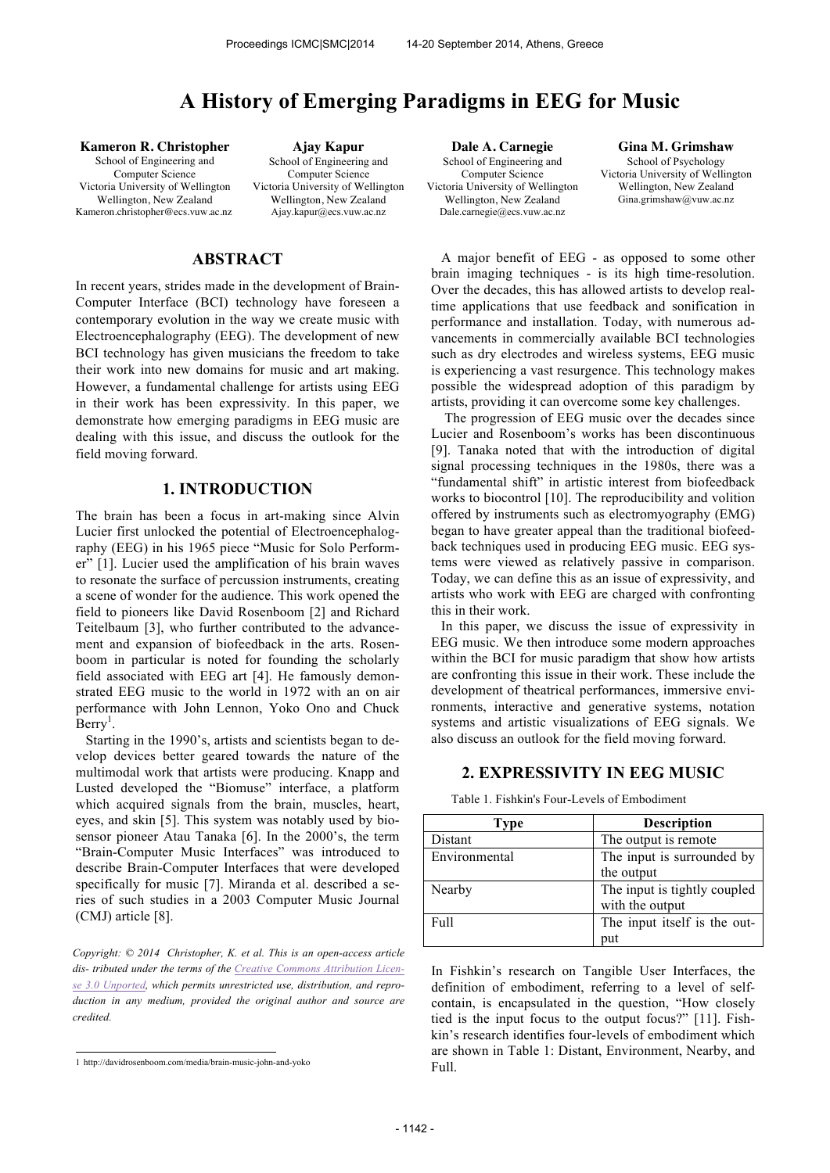# **A History of Emerging Paradigms in EEG for Music**

**Kameron R. Christopher** School of Engineering and Computer Science Victoria University of Wellington Wellington, New Zealand Kameron.christopher@ecs.vuw.ac.nz

**Ajay Kapur** School of Engineering and Computer Science Victoria University of Wellington Wellington, New Zealand Ajay.kapur@ecs.vuw.ac.nz

# **ABSTRACT**

In recent years, strides made in the development of Brain-Computer Interface (BCI) technology have foreseen a contemporary evolution in the way we create music with Electroencephalography (EEG). The development of new BCI technology has given musicians the freedom to take their work into new domains for music and art making. However, a fundamental challenge for artists using EEG in their work has been expressivity. In this paper, we demonstrate how emerging paradigms in EEG music are dealing with this issue, and discuss the outlook for the field moving forward.

## **1. INTRODUCTION**

The brain has been a focus in art-making since Alvin Lucier first unlocked the potential of Electroencephalography (EEG) in his 1965 piece "Music for Solo Performer" [1]. Lucier used the amplification of his brain waves to resonate the surface of percussion instruments, creating a scene of wonder for the audience. This work opened the field to pioneers like David Rosenboom [2] and Richard Teitelbaum [3], who further contributed to the advancement and expansion of biofeedback in the arts. Rosenboom in particular is noted for founding the scholarly field associated with EEG art [4]. He famously demonstrated EEG music to the world in 1972 with an on air performance with John Lennon, Yoko Ono and Chuck  $\text{Berry}^1$ .

Starting in the 1990's, artists and scientists began to develop devices better geared towards the nature of the multimodal work that artists were producing. Knapp and Lusted developed the "Biomuse" interface, a platform which acquired signals from the brain, muscles, heart, eyes, and skin [5]. This system was notably used by biosensor pioneer Atau Tanaka [6]. In the 2000's, the term "Brain-Computer Music Interfaces" was introduced to describe Brain-Computer Interfaces that were developed specifically for music [7]. Miranda et al. described a series of such studies in a 2003 Computer Music Journal (CMJ) article [8].

*Copyright: © 2014 Christopher, K. et al. This is an open-access article dis- tributed under the terms of the Creative Commons Attribution License 3.0 Unported, which permits unrestricted use, distribution, and reproduction in any medium, provided the original author and source are credited.*

**Dale A. Carnegie** School of Engineering and Computer Science Victoria University of Wellington Wellington, New Zealand Dale.carnegie@ecs.vuw.ac.nz

**Gina M. Grimshaw** School of Psychology Victoria University of Wellington Wellington, New Zealand Gina.grimshaw@vuw.ac.nz

A major benefit of EEG - as opposed to some other brain imaging techniques - is its high time-resolution. Over the decades, this has allowed artists to develop realtime applications that use feedback and sonification in performance and installation. Today, with numerous advancements in commercially available BCI technologies such as dry electrodes and wireless systems, EEG music is experiencing a vast resurgence. This technology makes possible the widespread adoption of this paradigm by artists, providing it can overcome some key challenges.

The progression of EEG music over the decades since Lucier and Rosenboom's works has been discontinuous [9]. Tanaka noted that with the introduction of digital signal processing techniques in the 1980s, there was a "fundamental shift" in artistic interest from biofeedback works to biocontrol [10]. The reproducibility and volition offered by instruments such as electromyography (EMG) began to have greater appeal than the traditional biofeedback techniques used in producing EEG music. EEG systems were viewed as relatively passive in comparison. Today, we can define this as an issue of expressivity, and artists who work with EEG are charged with confronting this in their work.

In this paper, we discuss the issue of expressivity in EEG music. We then introduce some modern approaches within the BCI for music paradigm that show how artists are confronting this issue in their work. These include the development of theatrical performances, immersive environments, interactive and generative systems, notation systems and artistic visualizations of EEG signals. We also discuss an outlook for the field moving forward.

## **2. EXPRESSIVITY IN EEG MUSIC**

| <b>Type</b>   | <b>Description</b>           |
|---------------|------------------------------|
| Distant       | The output is remote         |
| Environmental | The input is surrounded by   |
|               | the output                   |
| Nearby        | The input is tightly coupled |
|               | with the output              |
| <b>Full</b>   | The input itself is the out- |
|               | put                          |

Table 1. Fishkin's Four-Levels of Embodiment

In Fishkin's research on Tangible User Interfaces, the definition of embodiment, referring to a level of selfcontain, is encapsulated in the question, "How closely tied is the input focus to the output focus?" [11]. Fishkin's research identifies four-levels of embodiment which are shown in Table 1: Distant, Environment, Nearby, and Full.

 1 http://davidrosenboom.com/media/brain-music-john-and-yoko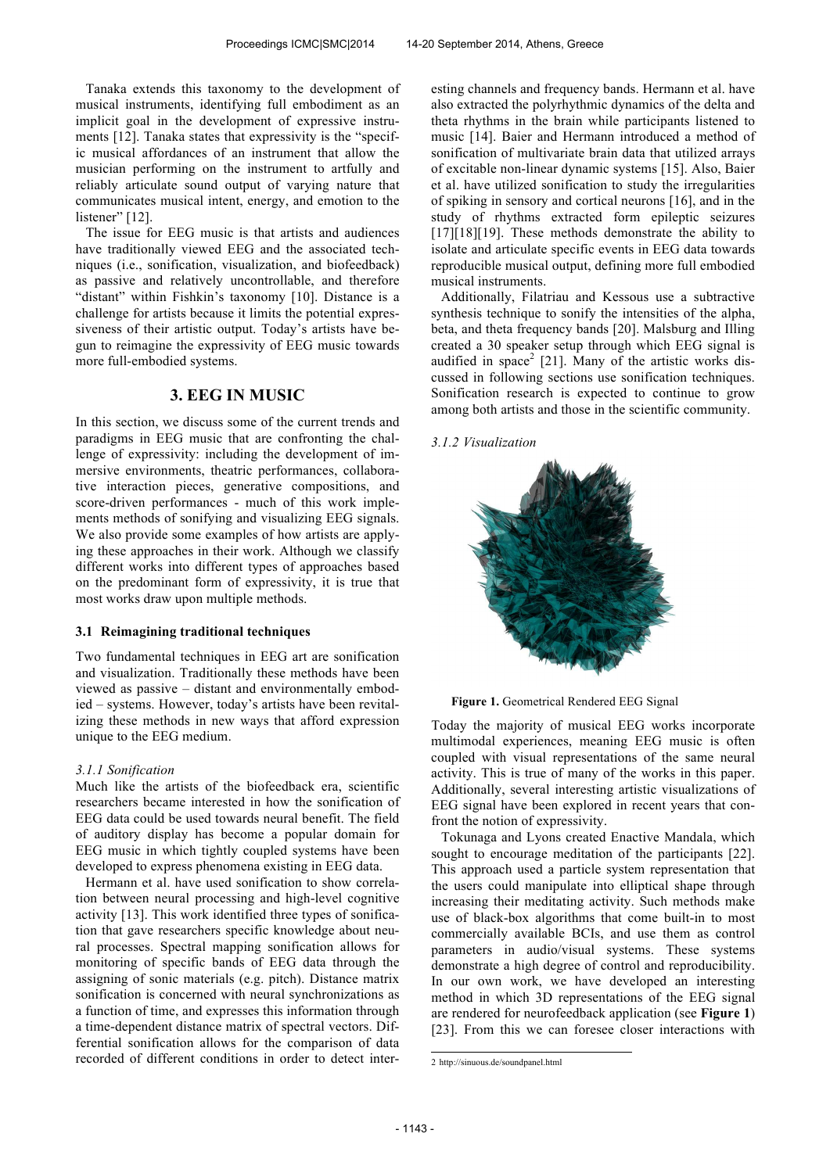Tanaka extends this taxonomy to the development of musical instruments, identifying full embodiment as an implicit goal in the development of expressive instruments [12]. Tanaka states that expressivity is the "specific musical affordances of an instrument that allow the musician performing on the instrument to artfully and reliably articulate sound output of varying nature that communicates musical intent, energy, and emotion to the listener" [12].

The issue for EEG music is that artists and audiences have traditionally viewed EEG and the associated techniques (i.e., sonification, visualization, and biofeedback) as passive and relatively uncontrollable, and therefore "distant" within Fishkin's taxonomy [10]. Distance is a challenge for artists because it limits the potential expressiveness of their artistic output. Today's artists have begun to reimagine the expressivity of EEG music towards more full-embodied systems.

# **3. EEG IN MUSIC**

In this section, we discuss some of the current trends and paradigms in EEG music that are confronting the challenge of expressivity: including the development of immersive environments, theatric performances, collaborative interaction pieces, generative compositions, and score-driven performances - much of this work implements methods of sonifying and visualizing EEG signals. We also provide some examples of how artists are applying these approaches in their work. Although we classify different works into different types of approaches based on the predominant form of expressivity, it is true that most works draw upon multiple methods.

#### **3.1 Reimagining traditional techniques**

Two fundamental techniques in EEG art are sonification and visualization. Traditionally these methods have been viewed as passive – distant and environmentally embodied – systems. However, today's artists have been revitalizing these methods in new ways that afford expression unique to the EEG medium.

#### *3.1.1 Sonification*

Much like the artists of the biofeedback era, scientific researchers became interested in how the sonification of EEG data could be used towards neural benefit. The field of auditory display has become a popular domain for EEG music in which tightly coupled systems have been developed to express phenomena existing in EEG data.

Hermann et al. have used sonification to show correlation between neural processing and high-level cognitive activity [13]. This work identified three types of sonification that gave researchers specific knowledge about neural processes. Spectral mapping sonification allows for monitoring of specific bands of EEG data through the assigning of sonic materials (e.g. pitch). Distance matrix sonification is concerned with neural synchronizations as a function of time, and expresses this information through a time-dependent distance matrix of spectral vectors. Differential sonification allows for the comparison of data recorded of different conditions in order to detect interesting channels and frequency bands. Hermann et al. have also extracted the polyrhythmic dynamics of the delta and theta rhythms in the brain while participants listened to music [14]. Baier and Hermann introduced a method of sonification of multivariate brain data that utilized arrays of excitable non-linear dynamic systems [15]. Also, Baier et al. have utilized sonification to study the irregularities of spiking in sensory and cortical neurons [16], and in the study of rhythms extracted form epileptic seizures [17][18][19]. These methods demonstrate the ability to isolate and articulate specific events in EEG data towards reproducible musical output, defining more full embodied musical instruments.

Additionally, Filatriau and Kessous use a subtractive synthesis technique to sonify the intensities of the alpha, beta, and theta frequency bands [20]. Malsburg and Illing created a 30 speaker setup through which EEG signal is audified in  $space<sup>2</sup>$  [21]. Many of the artistic works discussed in following sections use sonification techniques. Sonification research is expected to continue to grow among both artists and those in the scientific community.

# *3.1.2 Visualization*



**Figure 1.** Geometrical Rendered EEG Signal

Today the majority of musical EEG works incorporate multimodal experiences, meaning EEG music is often coupled with visual representations of the same neural activity. This is true of many of the works in this paper. Additionally, several interesting artistic visualizations of EEG signal have been explored in recent years that confront the notion of expressivity.

Tokunaga and Lyons created Enactive Mandala, which sought to encourage meditation of the participants [22]. This approach used a particle system representation that the users could manipulate into elliptical shape through increasing their meditating activity. Such methods make use of black-box algorithms that come built-in to most commercially available BCIs, and use them as control parameters in audio/visual systems. These systems demonstrate a high degree of control and reproducibility. In our own work, we have developed an interesting method in which 3D representations of the EEG signal are rendered for neurofeedback application (see **Figure 1**) [23]. From this we can foresee closer interactions with

 2 http://sinuous.de/soundpanel.html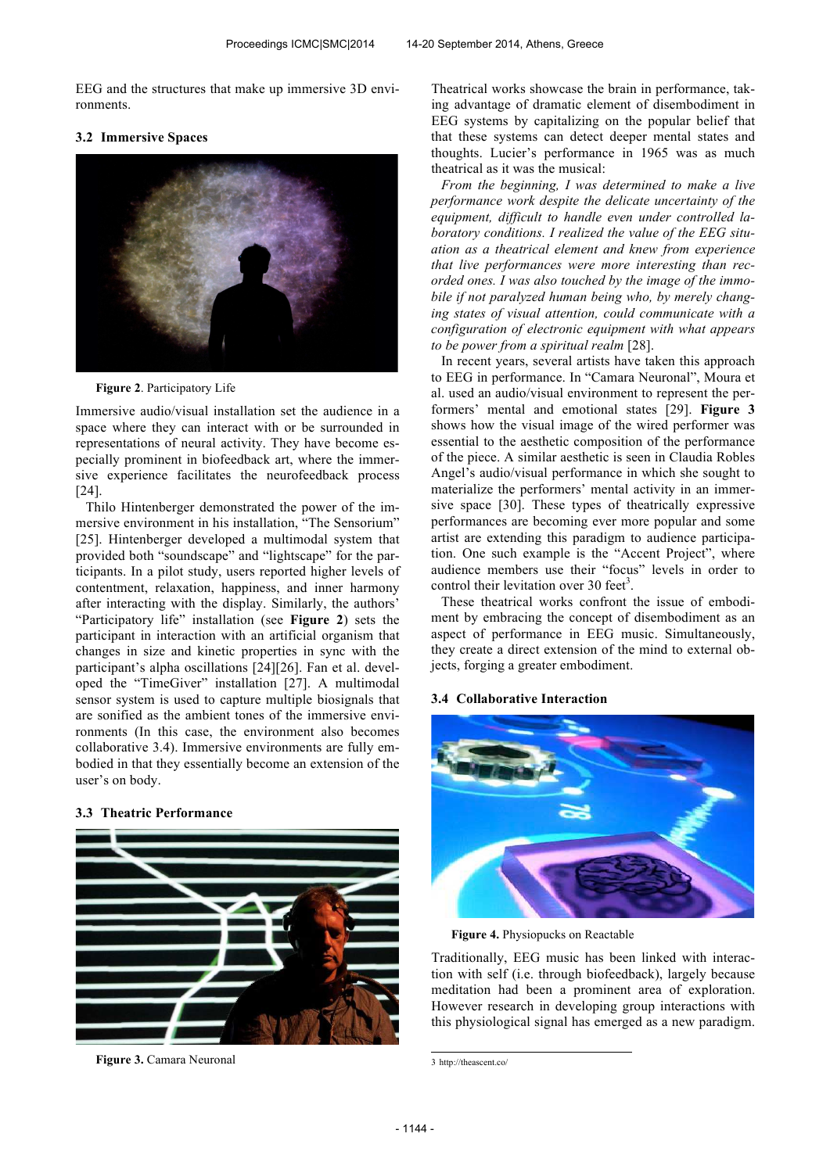EEG and the structures that make up immersive 3D environments.

## **3.2 Immersive Spaces**



**Figure 2**. Participatory Life

Immersive audio/visual installation set the audience in a space where they can interact with or be surrounded in representations of neural activity. They have become especially prominent in biofeedback art, where the immersive experience facilitates the neurofeedback process [24].

Thilo Hintenberger demonstrated the power of the immersive environment in his installation, "The Sensorium" [25]. Hintenberger developed a multimodal system that provided both "soundscape" and "lightscape" for the participants. In a pilot study, users reported higher levels of contentment, relaxation, happiness, and inner harmony after interacting with the display. Similarly, the authors' "Participatory life" installation (see **Figure 2**) sets the participant in interaction with an artificial organism that changes in size and kinetic properties in sync with the participant's alpha oscillations [24][26]. Fan et al. developed the "TimeGiver" installation [27]. A multimodal sensor system is used to capture multiple biosignals that are sonified as the ambient tones of the immersive environments (In this case, the environment also becomes collaborative 3.4). Immersive environments are fully embodied in that they essentially become an extension of the user's on body.

## **3.3 Theatric Performance**



**Figure 3.** Camara Neuronal

Theatrical works showcase the brain in performance, taking advantage of dramatic element of disembodiment in EEG systems by capitalizing on the popular belief that that these systems can detect deeper mental states and thoughts. Lucier's performance in 1965 was as much theatrical as it was the musical:

*From the beginning, I was determined to make a live performance work despite the delicate uncertainty of the equipment, difficult to handle even under controlled laboratory conditions. I realized the value of the EEG situation as a theatrical element and knew from experience that live performances were more interesting than recorded ones. I was also touched by the image of the immobile if not paralyzed human being who, by merely changing states of visual attention, could communicate with a configuration of electronic equipment with what appears to be power from a spiritual realm* [28].

In recent years, several artists have taken this approach to EEG in performance. In "Camara Neuronal", Moura et al. used an audio/visual environment to represent the performers' mental and emotional states [29]. **Figure 3** shows how the visual image of the wired performer was essential to the aesthetic composition of the performance of the piece. A similar aesthetic is seen in Claudia Robles Angel's audio/visual performance in which she sought to materialize the performers' mental activity in an immersive space [30]. These types of theatrically expressive performances are becoming ever more popular and some artist are extending this paradigm to audience participation. One such example is the "Accent Project", where audience members use their "focus" levels in order to control their levitation over 30 feet<sup>3</sup>.

These theatrical works confront the issue of embodiment by embracing the concept of disembodiment as an aspect of performance in EEG music. Simultaneously, they create a direct extension of the mind to external objects, forging a greater embodiment.

#### **3.4 Collaborative Interaction**



**Figure 4.** Physiopucks on Reactable

Traditionally, EEG music has been linked with interaction with self (i.e. through biofeedback), largely because meditation had been a prominent area of exploration. However research in developing group interactions with this physiological signal has emerged as a new paradigm.

 3 http://theascent.co/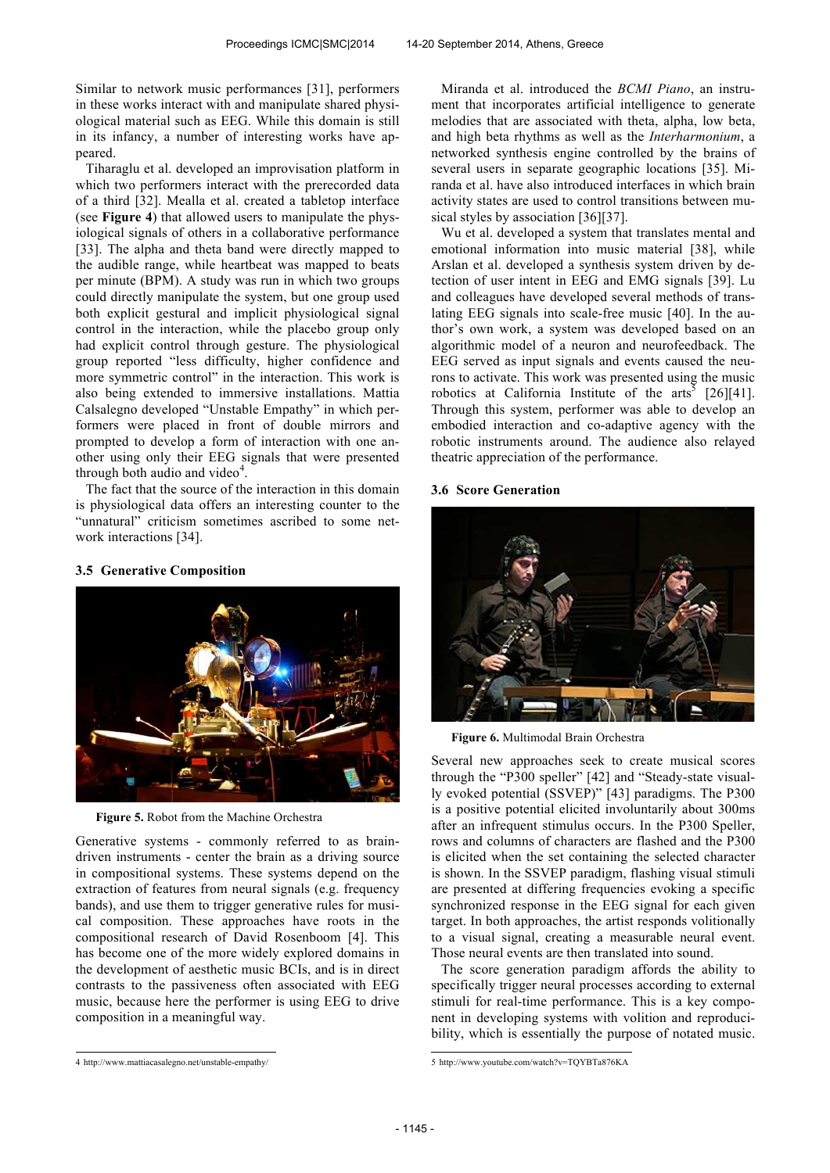Similar to network music performances [31], performers in these works interact with and manipulate shared physiological material such as EEG. While this domain is still in its infancy, a number of interesting works have appeared.

Tiharaglu et al. developed an improvisation platform in which two performers interact with the prerecorded data of a third [32]. Mealla et al. created a tabletop interface (see **Figure 4**) that allowed users to manipulate the physiological signals of others in a collaborative performance [33]. The alpha and theta band were directly mapped to the audible range, while heartbeat was mapped to beats per minute (BPM). A study was run in which two groups could directly manipulate the system, but one group used both explicit gestural and implicit physiological signal control in the interaction, while the placebo group only had explicit control through gesture. The physiological group reported "less difficulty, higher confidence and more symmetric control" in the interaction. This work is also being extended to immersive installations. Mattia Calsalegno developed "Unstable Empathy" in which performers were placed in front of double mirrors and prompted to develop a form of interaction with one another using only their EEG signals that were presented through both audio and video $4$ .

The fact that the source of the interaction in this domain is physiological data offers an interesting counter to the "unnatural" criticism sometimes ascribed to some network interactions [34].

#### **3.5 Generative Composition**



**Figure 5.** Robot from the Machine Orchestra

Generative systems - commonly referred to as braindriven instruments - center the brain as a driving source in compositional systems. These systems depend on the extraction of features from neural signals (e.g. frequency bands), and use them to trigger generative rules for musical composition. These approaches have roots in the compositional research of David Rosenboom [4]. This has become one of the more widely explored domains in the development of aesthetic music BCIs, and is in direct contrasts to the passiveness often associated with EEG music, because here the performer is using EEG to drive composition in a meaningful way.

Miranda et al. introduced the *BCMI Piano*, an instrument that incorporates artificial intelligence to generate melodies that are associated with theta, alpha, low beta, and high beta rhythms as well as the *Interharmonium*, a networked synthesis engine controlled by the brains of several users in separate geographic locations [35]. Miranda et al. have also introduced interfaces in which brain activity states are used to control transitions between musical styles by association [36][37].

Wu et al. developed a system that translates mental and emotional information into music material [38], while Arslan et al. developed a synthesis system driven by detection of user intent in EEG and EMG signals [39]. Lu and colleagues have developed several methods of translating EEG signals into scale-free music [40]. In the author's own work, a system was developed based on an algorithmic model of a neuron and neurofeedback. The EEG served as input signals and events caused the neurons to activate. This work was presented using the music robotics at California Institute of the arts<sup>5</sup> [26][41]. Through this system, performer was able to develop an embodied interaction and co-adaptive agency with the robotic instruments around. The audience also relayed theatric appreciation of the performance.

#### **3.6 Score Generation**



**Figure 6.** Multimodal Brain Orchestra

Several new approaches seek to create musical scores through the "P300 speller" [42] and "Steady-state visually evoked potential (SSVEP)" [43] paradigms. The P300 is a positive potential elicited involuntarily about 300ms after an infrequent stimulus occurs. In the P300 Speller, rows and columns of characters are flashed and the P300 is elicited when the set containing the selected character is shown. In the SSVEP paradigm, flashing visual stimuli are presented at differing frequencies evoking a specific synchronized response in the EEG signal for each given target. In both approaches, the artist responds volitionally to a visual signal, creating a measurable neural event. Those neural events are then translated into sound.

The score generation paradigm affords the ability to specifically trigger neural processes according to external stimuli for real-time performance. This is a key component in developing systems with volition and reproducibility, which is essentially the purpose of notated music.

 4 http://www.mattiacasalegno.net/unstable-empathy/

 5 http://www.youtube.com/watch?v=TQYBTa876KA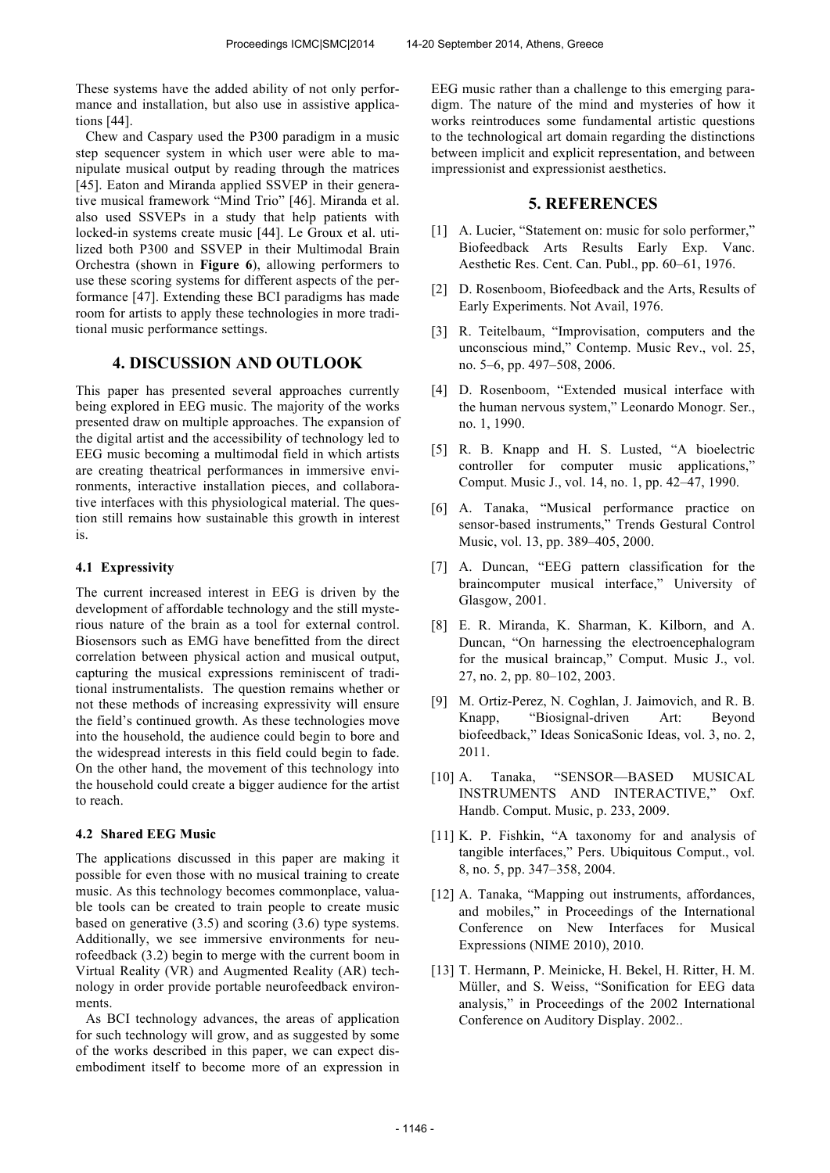These systems have the added ability of not only performance and installation, but also use in assistive applications [44].

Chew and Caspary used the P300 paradigm in a music step sequencer system in which user were able to manipulate musical output by reading through the matrices [45]. Eaton and Miranda applied SSVEP in their generative musical framework "Mind Trio" [46]. Miranda et al. also used SSVEPs in a study that help patients with locked-in systems create music [44]. Le Groux et al. utilized both P300 and SSVEP in their Multimodal Brain Orchestra (shown in **Figure 6**), allowing performers to use these scoring systems for different aspects of the performance [47]. Extending these BCI paradigms has made room for artists to apply these technologies in more traditional music performance settings.

# **4. DISCUSSION AND OUTLOOK**

This paper has presented several approaches currently being explored in EEG music. The majority of the works presented draw on multiple approaches. The expansion of the digital artist and the accessibility of technology led to EEG music becoming a multimodal field in which artists are creating theatrical performances in immersive environments, interactive installation pieces, and collaborative interfaces with this physiological material. The question still remains how sustainable this growth in interest is.

#### **4.1 Expressivity**

The current increased interest in EEG is driven by the development of affordable technology and the still mysterious nature of the brain as a tool for external control. Biosensors such as EMG have benefitted from the direct correlation between physical action and musical output, capturing the musical expressions reminiscent of traditional instrumentalists. The question remains whether or not these methods of increasing expressivity will ensure the field's continued growth. As these technologies move into the household, the audience could begin to bore and the widespread interests in this field could begin to fade. On the other hand, the movement of this technology into the household could create a bigger audience for the artist to reach.

### **4.2 Shared EEG Music**

The applications discussed in this paper are making it possible for even those with no musical training to create music. As this technology becomes commonplace, valuable tools can be created to train people to create music based on generative (3.5) and scoring (3.6) type systems. Additionally, we see immersive environments for neurofeedback (3.2) begin to merge with the current boom in Virtual Reality (VR) and Augmented Reality (AR) technology in order provide portable neurofeedback environments.

As BCI technology advances, the areas of application for such technology will grow, and as suggested by some of the works described in this paper, we can expect disembodiment itself to become more of an expression in EEG music rather than a challenge to this emerging paradigm. The nature of the mind and mysteries of how it works reintroduces some fundamental artistic questions to the technological art domain regarding the distinctions between implicit and explicit representation, and between impressionist and expressionist aesthetics.

## **5. REFERENCES**

- [1] A. Lucier, "Statement on: music for solo performer," Biofeedback Arts Results Early Exp. Vanc. Aesthetic Res. Cent. Can. Publ., pp. 60–61, 1976.
- [2] D. Rosenboom, Biofeedback and the Arts, Results of Early Experiments. Not Avail, 1976.
- [3] R. Teitelbaum, "Improvisation, computers and the unconscious mind," Contemp. Music Rev., vol. 25, no. 5–6, pp. 497–508, 2006.
- [4] D. Rosenboom, "Extended musical interface with the human nervous system," Leonardo Monogr. Ser., no. 1, 1990.
- [5] R. B. Knapp and H. S. Lusted, "A bioelectric controller for computer music applications," Comput. Music J., vol. 14, no. 1, pp. 42–47, 1990.
- [6] A. Tanaka, "Musical performance practice on sensor-based instruments," Trends Gestural Control Music, vol. 13, pp. 389–405, 2000.
- [7] A. Duncan, "EEG pattern classification for the braincomputer musical interface," University of Glasgow, 2001.
- [8] E. R. Miranda, K. Sharman, K. Kilborn, and A. Duncan, "On harnessing the electroencephalogram for the musical braincap," Comput. Music J., vol. 27, no. 2, pp. 80–102, 2003.
- [9] M. Ortiz-Perez, N. Coghlan, J. Jaimovich, and R. B. Knapp, "Biosignal-driven Art: Beyond biofeedback," Ideas SonicaSonic Ideas, vol. 3, no. 2, 2011.
- [10] A. Tanaka, "SENSOR—BASED MUSICAL INSTRUMENTS AND INTERACTIVE," Oxf. Handb. Comput. Music, p. 233, 2009.
- [11] K. P. Fishkin, "A taxonomy for and analysis of tangible interfaces," Pers. Ubiquitous Comput., vol. 8, no. 5, pp. 347–358, 2004.
- [12] A. Tanaka, "Mapping out instruments, affordances, and mobiles," in Proceedings of the International Conference on New Interfaces for Musical Expressions (NIME 2010), 2010.
- [13] T. Hermann, P. Meinicke, H. Bekel, H. Ritter, H. M. Müller, and S. Weiss, "Sonification for EEG data analysis," in Proceedings of the 2002 International Conference on Auditory Display. 2002..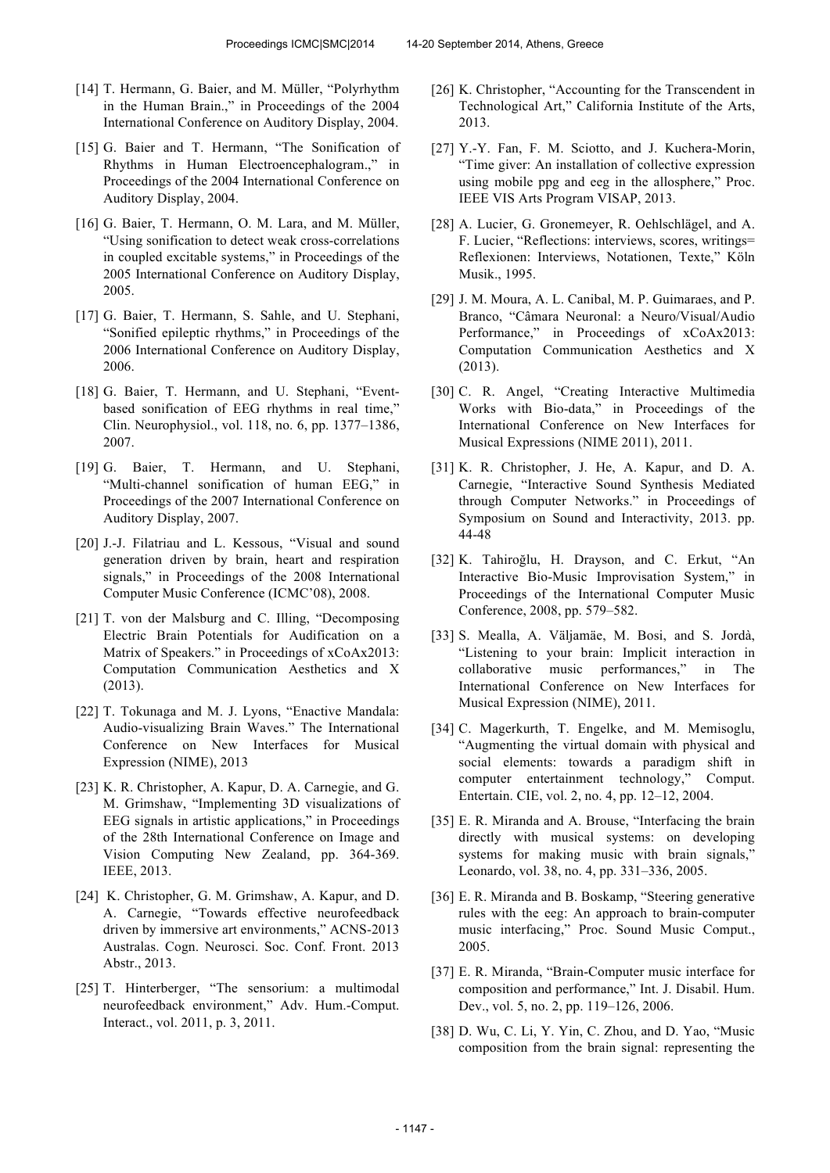- [14] T. Hermann, G. Baier, and M. Müller, "Polyrhythm in the Human Brain.," in Proceedings of the 2004 International Conference on Auditory Display, 2004.
- [15] G. Baier and T. Hermann, "The Sonification of Rhythms in Human Electroencephalogram.," in Proceedings of the 2004 International Conference on Auditory Display, 2004.
- [16] G. Baier, T. Hermann, O. M. Lara, and M. Müller, "Using sonification to detect weak cross-correlations in coupled excitable systems," in Proceedings of the 2005 International Conference on Auditory Display, 2005.
- [17] G. Baier, T. Hermann, S. Sahle, and U. Stephani, "Sonified epileptic rhythms," in Proceedings of the 2006 International Conference on Auditory Display, 2006.
- [18] G. Baier, T. Hermann, and U. Stephani, "Eventbased sonification of EEG rhythms in real time," Clin. Neurophysiol., vol. 118, no. 6, pp. 1377–1386, 2007.
- [19] G. Baier, T. Hermann, and U. Stephani, "Multi-channel sonification of human EEG," in Proceedings of the 2007 International Conference on Auditory Display, 2007.
- [20] J.-J. Filatriau and L. Kessous, "Visual and sound generation driven by brain, heart and respiration signals," in Proceedings of the 2008 International Computer Music Conference (ICMC'08), 2008.
- [21] T. von der Malsburg and C. Illing, "Decomposing Electric Brain Potentials for Audification on a Matrix of Speakers." in Proceedings of xCoAx2013: Computation Communication Aesthetics and X (2013).
- [22] T. Tokunaga and M. J. Lyons, "Enactive Mandala: Audio-visualizing Brain Waves." The International Conference on New Interfaces for Musical Expression (NIME), 2013
- [23] K. R. Christopher, A. Kapur, D. A. Carnegie, and G. M. Grimshaw, "Implementing 3D visualizations of EEG signals in artistic applications," in Proceedings of the 28th International Conference on Image and Vision Computing New Zealand, pp. 364-369. IEEE, 2013.
- [24] K. Christopher, G. M. Grimshaw, A. Kapur, and D. A. Carnegie, "Towards effective neurofeedback driven by immersive art environments," ACNS-2013 Australas. Cogn. Neurosci. Soc. Conf. Front. 2013 Abstr., 2013.
- [25] T. Hinterberger, "The sensorium: a multimodal neurofeedback environment," Adv. Hum.-Comput. Interact., vol. 2011, p. 3, 2011.
- [26] K. Christopher, "Accounting for the Transcendent in Technological Art," California Institute of the Arts, 2013.
- [27] Y.-Y. Fan, F. M. Sciotto, and J. Kuchera-Morin, "Time giver: An installation of collective expression using mobile ppg and eeg in the allosphere," Proc. IEEE VIS Arts Program VISAP, 2013.
- [28] A. Lucier, G. Gronemeyer, R. Oehlschlägel, and A. F. Lucier, "Reflections: interviews, scores, writings= Reflexionen: Interviews, Notationen, Texte," Köln Musik., 1995.
- [29] J. M. Moura, A. L. Canibal, M. P. Guimaraes, and P. Branco, "Câmara Neuronal: a Neuro/Visual/Audio Performance," in Proceedings of xCoAx2013: Computation Communication Aesthetics and X (2013).
- [30] C. R. Angel, "Creating Interactive Multimedia Works with Bio-data," in Proceedings of the International Conference on New Interfaces for Musical Expressions (NIME 2011), 2011.
- [31] K. R. Christopher, J. He, A. Kapur, and D. A. Carnegie, "Interactive Sound Synthesis Mediated through Computer Networks." in Proceedings of Symposium on Sound and Interactivity, 2013. pp. 44-48
- [32] K. Tahiroğlu, H. Drayson, and C. Erkut, "An Interactive Bio-Music Improvisation System," in Proceedings of the International Computer Music Conference, 2008, pp. 579–582.
- [33] S. Mealla, A. Väljamäe, M. Bosi, and S. Jordà, "Listening to your brain: Implicit interaction in collaborative music performances," in The International Conference on New Interfaces for Musical Expression (NIME), 2011.
- [34] C. Magerkurth, T. Engelke, and M. Memisoglu, "Augmenting the virtual domain with physical and social elements: towards a paradigm shift in computer entertainment technology," Comput. Entertain. CIE, vol. 2, no. 4, pp. 12–12, 2004.
- [35] E. R. Miranda and A. Brouse, "Interfacing the brain directly with musical systems: on developing systems for making music with brain signals," Leonardo, vol. 38, no. 4, pp. 331–336, 2005.
- [36] E. R. Miranda and B. Boskamp, "Steering generative rules with the eeg: An approach to brain-computer music interfacing," Proc. Sound Music Comput., 2005.
- [37] E. R. Miranda, "Brain-Computer music interface for composition and performance," Int. J. Disabil. Hum. Dev., vol. 5, no. 2, pp. 119–126, 2006.
- [38] D. Wu, C. Li, Y. Yin, C. Zhou, and D. Yao, "Music composition from the brain signal: representing the